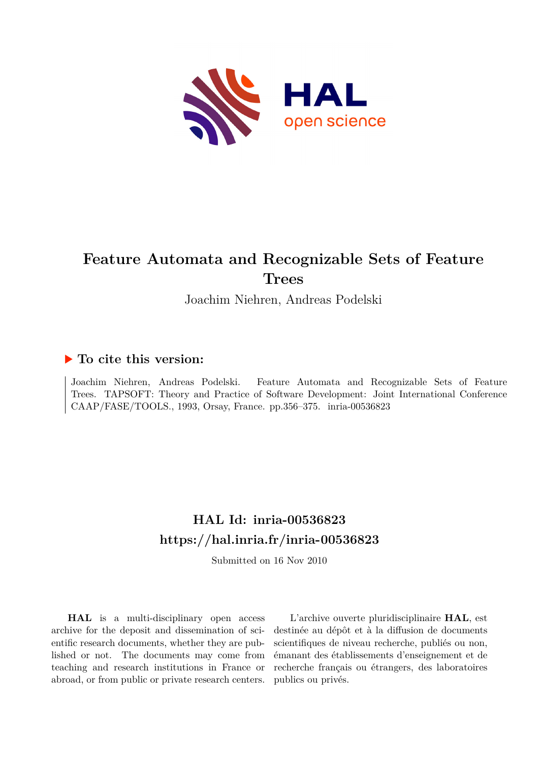

## **Feature Automata and Recognizable Sets of Feature Trees**

Joachim Niehren, Andreas Podelski

## **To cite this version:**

Joachim Niehren, Andreas Podelski. Feature Automata and Recognizable Sets of Feature Trees. TAPSOFT: Theory and Practice of Software Development: Joint International Conference CAAP/FASE/TOOLS., 1993, Orsay, France. pp.356-375. inria-00536823

## **HAL Id: inria-00536823 <https://hal.inria.fr/inria-00536823>**

Submitted on 16 Nov 2010

**HAL** is a multi-disciplinary open access archive for the deposit and dissemination of scientific research documents, whether they are published or not. The documents may come from teaching and research institutions in France or abroad, or from public or private research centers.

L'archive ouverte pluridisciplinaire **HAL**, est destinée au dépôt et à la diffusion de documents scientifiques de niveau recherche, publiés ou non, émanant des établissements d'enseignement et de recherche français ou étrangers, des laboratoires publics ou privés.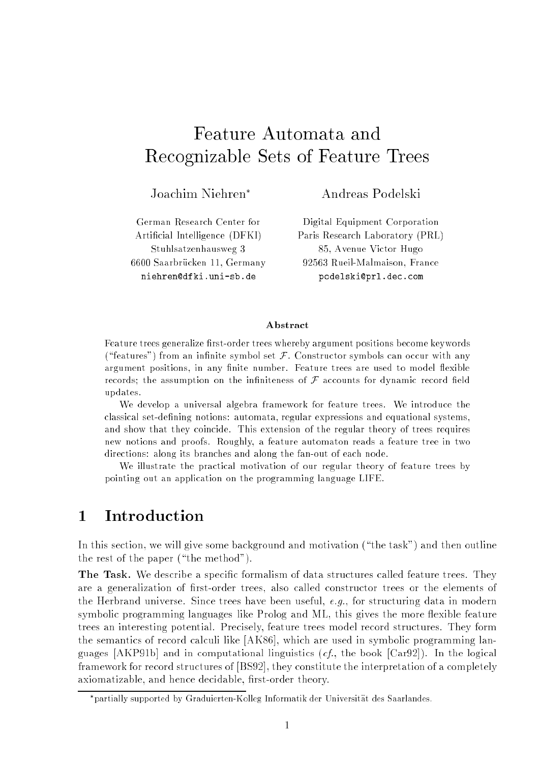## Feature Automata and Recognizable Sets of Feature Trees

Joachim Niehren

Andreas Podelski

German Research Center for Articial Intelligence (DFKI) Stuhlsatzenhausweg 3 6600 Saarbrucken 11, Germany niehren@dfki.uni-sb.de

Digital Equipment Corporation Paris Research Laboratory (PRL) 85, Avenue Victor Hugo 92563 Rueil-Malmaison, France podelski@prl.dec.com

### Abstract

Feature trees generalize first-order trees whereby argument positions become keywords ("features") from an infinite symbol set  $\mathcal F$ . Constructor symbols can occur with any argument positions, in any finite number. Feature trees are used to model flexible records; the assumption on the infiniteness of  $\mathcal F$  accounts for dynamic record field updates.

We develop a universal algebra framework for feature trees. We introduce the classical set-defining notions: automata, regular expressions and equational systems, and show that they coincide. This extension of the regular theory of trees requires new notions and proofs. Roughly, a feature automaton reads a feature tree in two directions: along its branches and along the fan-out of each node.

We illustrate the practical motivation of our regular theory of feature trees by pointing out an application on the programming language LIFE.

#### **Introduction**  $\mathbf{1}$

In this section, we will give some background and motivation ("the task") and then outline the rest of the paper ("the method").

The Task. We describe a specic formalism of data structures called feature trees. They are a generalization of first-order trees, also called constructor trees or the elements of the Herbrand universe. Since trees have been useful,  $e.g.,$  for structuring data in modern symbolic programming languages like Prolog and ML, this gives the more flexible feature trees an interesting potential. Precisely, feature trees model record structures. They form the semantics of record calculi like [AK86], which are used in symbolic programming languages  $[AKP91b]$  and in computational linguistics  $(cf,$ , the book  $[Car92]$ ). In the logical framework for record structures of [BS92], they constitute the interpretation of a completely axiomatizable, and hence decidable, first-order theory.

partially supported by Graduierten-Kolleg Informatik der Universitat des Saarlandes.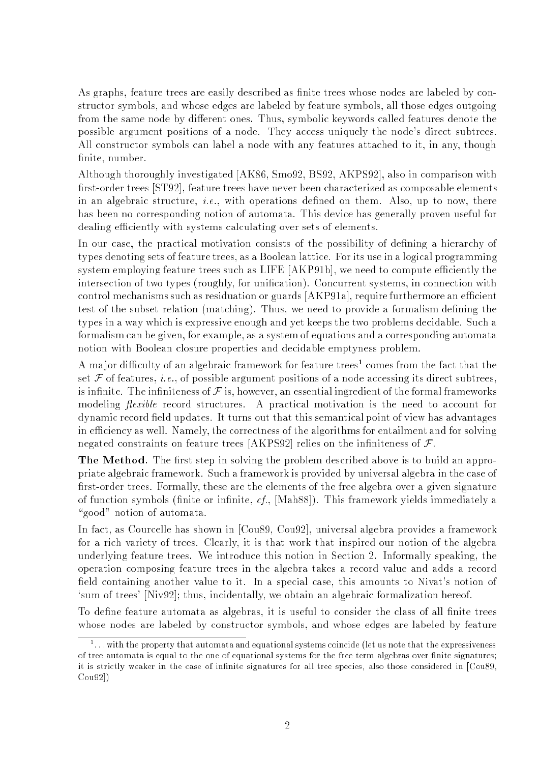As graphs, feature trees are easily described as finite trees whose nodes are labeled by constructor symbols, and whose edges are labeled by feature symbols, all those edges outgoing from the same node by different ones. Thus, symbolic keywords called features denote the possible argument positions of a node. They access uniquely the node's direct subtrees. All constructor symbols can label a node with any features attached to it, in any, though finite, number.

Although thoroughly investigated [AK86, Smo92, BS92, AKPS92], also in comparison with first-order trees [ST92], feature trees have never been characterized as composable elements in an algebraic structure, *i.e.*, with operations defined on them. Also, up to now, there has been no corresponding notion of automata. This device has generally proven useful for dealing efficiently with systems calculating over sets of elements.

In our case, the practical motivation consists of the possibility of defining a hierarchy of types denoting sets of feature trees, as a Boolean lattice. For its use in a logical programming system employing feature trees such as LIFE [AKP91b], we need to compute efficiently the intersection of two types (roughly, for unification). Concurrent systems, in connection with control mechanisms such as residuation or guards [AKP91a], require furthermore an efficient test of the subset relation (matching). Thus, we need to provide a formalism defining the types in a way which is expressive enough and yet keeps the two problems decidable. Such a formalism can be given, for example, as a system of equations and a corresponding automata notion with Boolean closure properties and decidable emptyness problem.

A major dimcuity of an algebraic framework for feature trees<sup>2</sup> comes from the fact that the set  $\mathcal F$  of features, *i.e.*, of possible argument positions of a node accessing its direct subtrees, is infinite. The infiniteness of  $\mathcal F$  is, however, an essential ingredient of the formal frameworks modeling *flexible* record structures. A practical motivation is the need to account for dynamic record field updates. It turns out that this semantical point of view has advantages in efficiency as well. Namely, the correctness of the algorithms for entailment and for solving negated constraints on feature trees [AKPS92] relies on the infiniteness of  $\mathcal{F}$ .

The Method. The first step in solving the problem described above is to build an appropriate algebraic framework. Such a framework is provided by universal algebra in the case of first-order trees. Formally, these are the elements of the free algebra over a given signature of function symbols (finite or infinite,  $cf.$ , [Mah88]). This framework yields immediately a "good" notion of automata.

In fact, as Courcelle has shown in [Cou89, Cou92], universal algebra provides a framework for a rich variety of trees. Clearly, it is that work that inspired our notion of the algebra underlying feature trees. We introduce this notion in Section 2. Informally speaking, the operation composing feature trees in the algebra takes a record value and adds a record field containing another value to it. In a special case, this amounts to Nivat's notion of `sum of trees' [Niv92]; thus, incidentally, we obtain an algebraic formalization hereof.

To define feature automata as algebras, it is useful to consider the class of all finite trees whose nodes are labeled by constructor symbols, and whose edges are labeled by feature

<sup>1</sup> : : :with the property that automata and equational systems coincide (let us note that the expressiveness of tree automata is equal to the one of equational systems for the free term algebras over nite signatures; it is strictly weaker in the case of innite signatures for all tree species, also those considered in [Cou89, Cou92])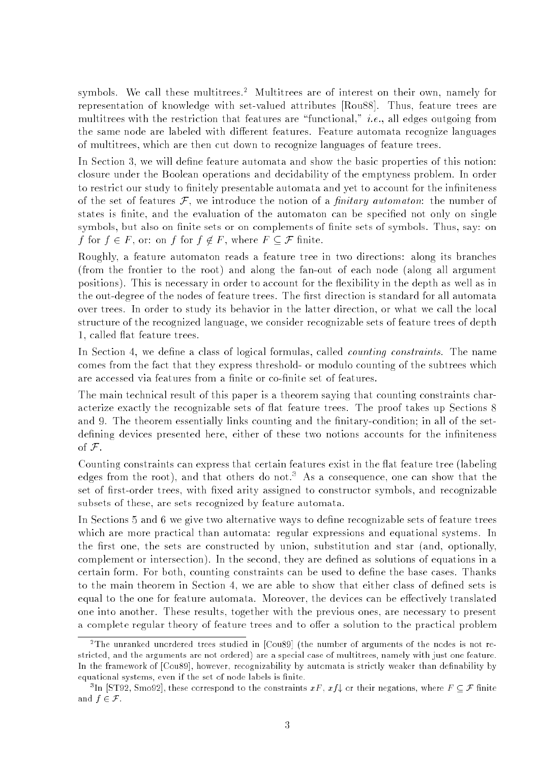symbols. We call these multitrees.<sup>2</sup> Multitrees are of interest on their own, namely for representation of knowledge with set-valued attributes [Rou88]. Thus, feature trees are multitrees with the restriction that features are "functional," *i.e.*, all edges outgoing from the same node are labeled with different features. Feature automata recognize languages of multitrees, which are then cut down to recognize languages of feature trees.

In Section 3, we will define feature automata and show the basic properties of this notion: closure under the Boolean operations and decidability of the emptyness problem. In order to restrict our study to finitely presentable automata and yet to account for the infiniteness of the set of features  $\mathcal F$ , we introduce the notion of a *finitary automaton*: the number of states is finite, and the evaluation of the automaton can be specified not only on single symbols, but also on finite sets or on complements of finite sets of symbols. Thus, say: on f for  $f \in F$ , or: on f for  $f \notin F$ , where  $F \subseteq \mathcal{F}$  finite.

Roughly, a feature automaton reads a feature tree in two directions: along its branches (from the frontier to the root) and along the fan-out of each node (along all argument positions). This is necessary in order to account for the flexibility in the depth as well as in the out-degree of the nodes of feature trees. The first direction is standard for all automata over trees. In order to study its behavior in the latter direction, or what we call the local structure of the recognized language, we consider recognizable sets of feature trees of depth 1, called flat feature trees.

In Section 4, we define a class of logical formulas, called *counting constraints*. The name comes from the fact that they express threshold- or modulo counting of the subtrees which are accessed via features from a finite or co-finite set of features.

The main technical result of this paper is a theorem saying that counting constraints characterize exactly the recognizable sets of flat feature trees. The proof takes up Sections 8 and 9. The theorem essentially links counting and the finitary-condition; in all of the setdefining devices presented here, either of these two notions accounts for the infiniteness of  $\mathcal F$ .

Counting constraints can express that certain features exist in the flat feature tree (labeling edges from the root), and that others do not.<sup>3</sup> As a consequence, one can show that the set of first-order trees, with fixed arity assigned to constructor symbols, and recognizable subsets of these, are sets recognized by feature automata.

In Sections 5 and 6 we give two alternative ways to define recognizable sets of feature trees which are more practical than automata: regular expressions and equational systems. In the first one, the sets are constructed by union, substitution and star (and, optionally, complement or intersection). In the second, they are defined as solutions of equations in a certain form. For both, counting constraints can be used to dene the base cases. Thanks to the main theorem in Section 4, we are able to show that either class of dened sets is equal to the one for feature automata. Moreover, the devices can be effectively translated one into another. These results, together with the previous ones, are necessary to present a complete regular theory of feature trees and to offer a solution to the practical problem

<sup>2</sup>The unranked unordered trees studied in [Cou89] (the number of arguments of the nodes is not restricted, and the arguments are not ordered) are a special case of multitrees, namely with just one feature.In the framework of [Cou89], however, recognizability by automata is strictly weaker than definability by equational systems, even if the set of node labels is nite.

<sup>&</sup>lt;sup>3</sup>In [ST92, Smo92], these correspond to the constraints  $xF, xf$  or their negations, where  $F \subseteq \mathcal{F}$  finite and  $f \in \mathcal{F}$ .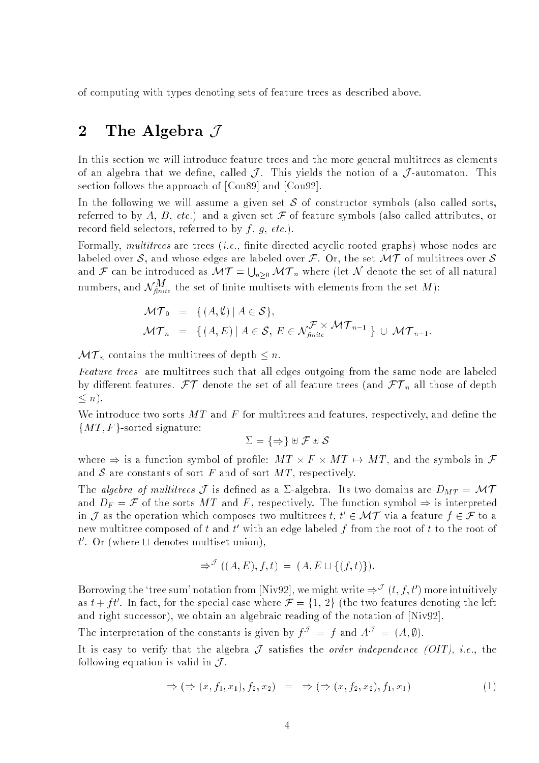of computing with types denoting sets of feature trees as described above.

## 2 The Algebra  $\mathcal J$

In this section we will introduce feature trees and the more general multitrees as elements of an algebra that we define, called  $\mathcal{J}$ . This yields the notion of a  $\mathcal{J}$ -automaton. This section follows the approach of [Cou89] and [Cou92].

In the following we will assume a given set  $S$  of constructor symbols (also called sorts, referred to by A, B, etc.) and a given set  $\mathcal F$  of feature symbols (also called attributes, or record field selectors, referred to by  $f, g, etc.$ ).

Formally, multitrees are trees (*i.e.*, finite directed acyclic rooted graphs) whose nodes are labeled over S, and whose edges are labeled over  $\mathcal F$ . Or, the set  $\mathcal{MT}$  of multitrees over S and  $\alpha$  is a finite as  $\alpha$  before a mass  $\alpha$  . The internal definition of  $\alpha$ s and the second state of the second state of the second state of the second state of the second state of the second state in the second state in the second state in the second state in the second state in the second state  $n > 0$  . We where (set it denote the set of all natural natural  $n = 0$ numbers, and  $N_{\text{finite}}$  the set of influe multisets with elements from the set  $M$ ):

$$
\mathcal{MT}_0 = \{ (A, \emptyset) \mid A \in \mathcal{S} \},
$$
  

$$
\mathcal{MT}_n = \{ (A, E) \mid A \in \mathcal{S}, E \in \mathcal{N}_{finite}^{\mathcal{F} \times \mathcal{MT}_{n-1}} \} \cup \mathcal{MT}_{n-1}.
$$

 $\mathcal{M}$  ,  $\mathcal{M}$  contains the multitude of depth  $\mathcal{M}$  and  $\mathcal{M}$ 

Feature trees are multitrees such that all edges outgoing from the same node are labeled by dierent features. For all features. For all feature trees (and  $\Gamma$  those of depth  $\Gamma$  n all those of depth  $\Gamma$  $\leq n$ ).

We introduce two sorts  $MT$  and F for multitrees and features, respectively, and define the  ${MT, F}$ -sorted signature:

$$
\Sigma = \{\Rightarrow\} \uplus \mathcal{F} \uplus \mathcal{S}
$$

where ) is a function symbol of promise the symbol of the symbol of problem  $\mathcal{L}$ and  $S$  are constants of sort  $F$  and of sort  $MT$ , respectively.

The algebra of multitrees  $\mathcal J$  is defined as a  $\Sigma$ -algebra. Its two domains are  $D_{MT} = \mathcal{MT}$ and  $D_F = \mathcal{F}$  of the sorts MT and F, respectively. The function symbol  $\Rightarrow$  is interpreted in *J* as the operation which composes two multitrees  $t, t \in \mathcal{M}$  *I* via a feature  $\tau \in \mathcal{F}$  to a  $\limsup$  multitree composed of t and t with an edge labeled f from the root of t to the root of  $\iota$  . Or (where  $\sqcup$  denotes multiset union),

$$
\Rightarrow^{\mathcal{J}} ((A, E), f, t) = (A, E \sqcup \{(f, t)\}).
$$

Borrowing the 'tree sum' notation from  $\text{Niv92}$ , we might write  $\Rightarrow^{\mathcal{J}} (t, f, t')$  more intuitively as  $t + \tau t$ . In fact, for the special case where  $\tau = \{1, 2\}$  (the two features denoting the left and right successor), we obtain an algebraic reading of the notation of [Niv92].

The interpretation of the constants is given by  $\mathcal{T}^* = \mathcal{T}$  and  $A^* = (A, \psi)$ .

It is easy to verify that the algebra  $\mathcal J$  satisfies the *order independence (OIT)*, *i.e.*, the following equation is valid in  $\mathcal{J}$ .

$$
\Rightarrow (\Rightarrow (x, f_1, x_1), f_2, x_2) = \Rightarrow (\Rightarrow (x, f_2, x_2), f_1, x_1)
$$
\n(1)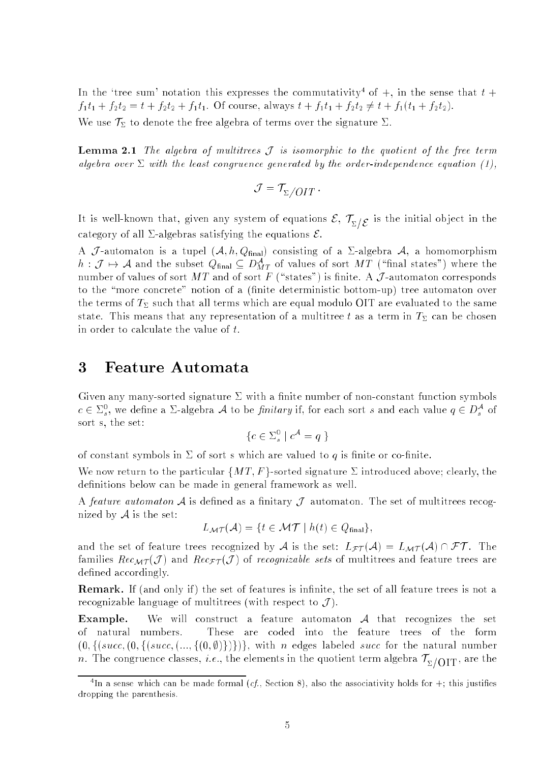In the 'tree sum' notation this expresses the commutativity<sup>4</sup> of  $+$ , in the sense that  $t +$  $f_1t_1 + f_2t_2 = t + f_2t_2 + f_1t_1$ . Of course, always  $t + f_1t_1 + f_2t_2 \neq t + f_1(t_1 + f_2t_2)$ . We use  $\mathcal{T}_{\Sigma}$  to denote the free algebra of terms over the signature  $\Sigma$ .

**Lemma 2.1** The algebra of multitrees  $\mathcal{J}$  is isomorphic to the quotient of the free term algebra over  $\Sigma$  with the least congruence generated by the order-independence equation (1),

$$
\mathcal{J} = \mathcal{T}_{\Sigma}/OIT
$$

 $\sum_{i=1}^n \sum_{j=1}^n \sum_{j=1}^n$  is the initial observations  $\sum_{i=1}^n \sum_{j=1}^n \sum_{j=1}^n$  is the initial observations of equations in the initial observations of the initial observations of the initial observations of the i category of all  $\Sigma$ -algebras satisfying the equations  $\mathcal{E}$ .

A J-automaton is a tupel  $(A, h, Q_{final})$  consisting of a  $\Sigma$ -algebra  $A$ , a homomorphism  $n: J \mapsto A$  and the subset  $Q_{\text{final}} \subseteq D_{MT}^{\times}$  of values of sort  $MT$  (which states ) where the number of values of sort  $MT$  and of sort F ("states") is finite. A  $\mathcal J$ -automaton corresponds to the "more concrete" notion of a (finite deterministic bottom-up) tree automaton over the terms of  $T_{\Sigma}$  such that all terms which are equal modulo OIT are evaluated to the same state. This means that any representation of a multitree t as a term in  $T_{\Sigma}$  can be chosen in order to calculate the value of t.

#### $\bf{3}$ 3 Feature Automata

Given any many-sorted signature  $\Sigma$  with a finite number of non-constant function symbols  $c \in \mathbb{Z}_s^*$ , we define a  $\mathbb{Z}$ -algebra A to be *finitary* if, for each sort s and each value  $q \in D_s^*$  of sort s, the set:

$$
\{c \in \Sigma_s^0 \mid c^{\mathcal{A}} = q \ \}
$$

of constant symbols in  $\Sigma$  of sort s which are valued to q is finite or co-finite.

We now return to the particular  $\{MT, F\}$ -sorted signature  $\Sigma$  introduced above; clearly, the definitions below can be made in general framework as well.

A feature automaton A is defined as a finitary J-automaton. The set of multitrees recognized by  $A$  is the set:

$$
L_{\mathcal{MT}}(\mathcal{A}) = \{ t \in \mathcal{MT} \mid h(t) \in Q_{\text{final}} \},
$$

and the set of feature trees recognized by A is the set:  $L_{\mathcal{FT}}(\mathcal{A}) = L_{\mathcal{MT}}(\mathcal{A}) \cap \mathcal{FT}$ . The families  $Rec_{\mathcal{MT}}(\mathcal{J})$  and  $Rec_{\mathcal{FT}}(\mathcal{J})$  of recognizable sets of multitrees and feature trees are defined accordingly.

**Remark.** If (and only if) the set of features is infinite, the set of all feature trees is not a recognizable language of multitrees (with respect to  $\mathcal{J}$ ).

**Example.** We will construct a feature automaton  $A$  that recognizes the set of natural numbers. These are coded into the feature trees of the form  $(0,\{(succ,(succ,(..., \{(0,\emptyset)\}))\})$ , with n edges labeled succ for the natural number  $\cdots$  the congruence classes, i.e., the elements in the quotient term algebra  $\gamma_{\rm 27011}$  are the

In a sense which can be made formal  $(c_i)$ , Section 8), also the associativity holds for  $+$ ; this justifies dropping the parenthesis.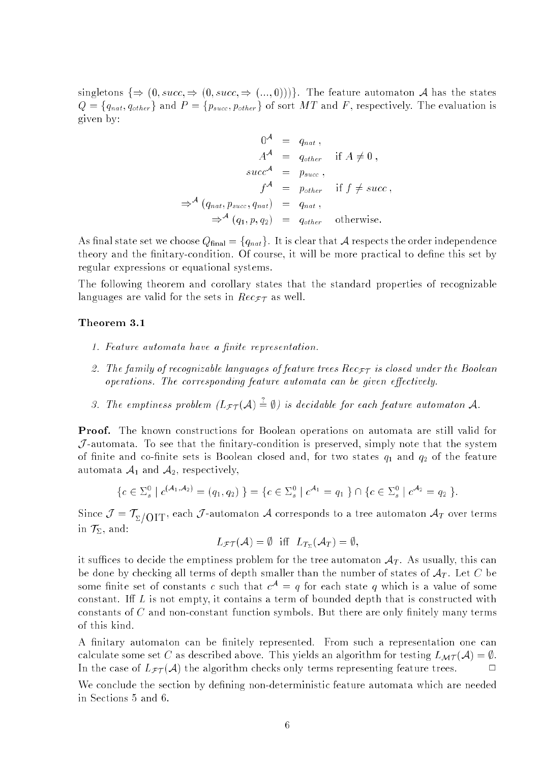singletons  $\{\Rightarrow (0, succ,\Rightarrow(0, succ,\Rightarrow(...,0)))\}$ . The feature automaton A has the states  $Q = \{q_{nat}, q_{other}\}\$ and  $P = \{p_{succ}, p_{other}\}\$ of sort MT and F, respectively. The evaluation is given by:

$$
0^{A} = q_{nat},
$$
  
\n
$$
A^{A} = q_{other} \text{ if } A \neq 0,
$$
  
\n
$$
succ^{A} = p_{succ},
$$
  
\n
$$
f^{A} = p_{other} \text{ if } f \neq succ,
$$
  
\n
$$
\Rightarrow^{A} (q_{nat}, p_{succ}, q_{nat}) = q_{nat},
$$
  
\n
$$
\Rightarrow^{A} (q_1, p, q_2) = q_{other} \text{ otherwise.}
$$

As final state set we choose  $Q_{final} = \{q_{nat}\}\.$  It is clear that A respects the order independence theory and the finitary-condition. Of course, it will be more practical to define this set by regular expressions or equational systems.

The following theorem and corollary states that the standard properties of recognizable languages are valid for the sets in  $Rec_{\mathcal{FT}}$  as well.

### Theorem 3.1

- 1. Feature automata have a finite representation.
- 2. The family of recognizable languages of feature trees  $Rec_{\mathcal{FT}}$  is closed under the Boolean operations. The corresponding feature automata can be given effectively.
- 3. The emptiness problem  $(L_{\mathcal{FT}}(\mathcal{A}) = \emptyset)$  is decidable for each feature automaton  $\mathcal{A}$ .

Proof. The known constructions for Boolean operations on automata are still valid for  $\mathcal{J}$ -automata. To see that the finitary-condition is preserved, simply note that the system of finite and co-finite sets is Boolean closed and, for two states  $q_1$  and  $q_2$  of the feature automata  $A_1$  and  $A_2$ , respectively,

$$
\{c \in \Sigma_s^0 \mid c^{(\mathcal{A}_1, \mathcal{A}_2)} = (q_1, q_2) \} = \{c \in \Sigma_s^0 \mid c^{\mathcal{A}_1} = q_1 \} \cap \{c \in \Sigma_s^0 \mid c^{\mathcal{A}_2} = q_2 \}.
$$

 $\sum_{i=1}^{n}$   $\sum_{i=1}^{n}$   $\sum_{i=1}^{n}$   $\sum_{i=1}^{n}$   $\sum_{i=1}^{n}$   $\sum_{i=1}^{n}$   $\sum_{i=1}^{n}$   $\sum_{i=1}^{n}$   $\sum_{i=1}^{n}$   $\sum_{i=1}^{n}$   $\sum_{i=1}^{n}$   $\sum_{i=1}^{n}$   $\sum_{i=1}^{n}$   $\sum_{i=1}^{n}$   $\sum_{i=1}^{n}$   $\sum_{i=1}^{n}$   $\sum_{i=1}^{n}$  in  $\mathcal{T}_{\Sigma}$ , and:

$$
L_{\mathcal{F}\mathcal{T}}(\mathcal{A}) = \emptyset \quad \text{iff} \quad L_{T_{\Sigma}}(\mathcal{A}_T) = \emptyset,
$$

it suffices to decide the emptiness problem for the tree automaton  $A_T$ . As usually, this can be done by checking all terms of depth smaller than the number of states of  $A_T$ . Let C be some finite set of constants c such that  $c^A = q$  for each state q which is a value of some constant. Iff  $L$  is not empty, it contains a term of bounded depth that is constructed with constants of  $C$  and non-constant function symbols. But there are only finitely many terms of this kind.

A finitary automaton can be finitely represented. From such a representation one can calculate some set C as described above. This yields an algorithm for testing  $L_{\mathcal{MT}}(\mathcal{A}) = \emptyset$ . In the case of  $L_{\mathcal{FI}}(\mathcal{A})$  the algorithm checks only terms representing feature trees.  $\Box$ 

We conclude the section by defining non-deterministic feature automata which are needed in Sections 5 and 6.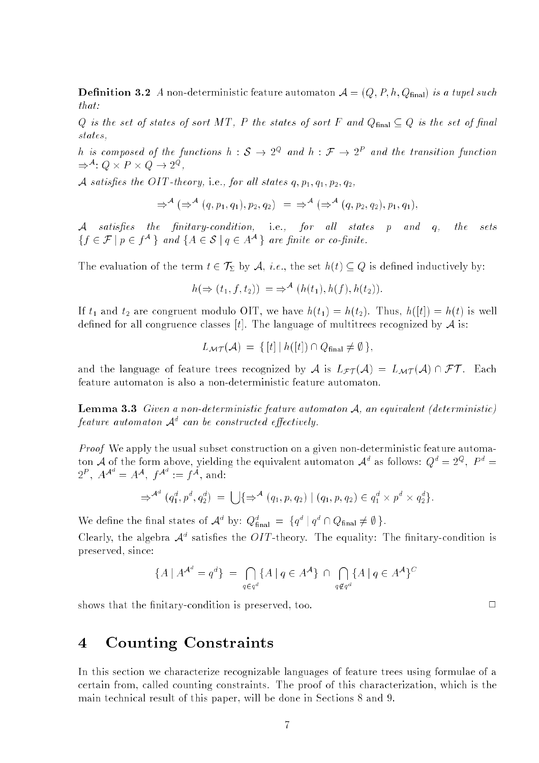**Definition 3.2** A non-deterministic feature automaton  $A = (Q, P, h, Q_{final})$  is a tupel such that:

Q is the set of states of sort MT, P the states of sort F and  $Q_{final} \subseteq Q$  is the set of final states. states,

n is composed of the functions  $h: \mathcal{S} \to \mathbb{Z}^\infty$  and  $h: \mathcal{F} \to \mathbb{Z}^\times$  and the transition function  $\Rightarrow$  :  $Q \times T \times Q \rightarrow Z^*$  ,

A satisfies the OIT-theory, i.e., for all states  $q, p_1, q_1, p_2, q_2$ ,

$$
\Rightarrow^{\mathcal{A}} (\Rightarrow^{\mathcal{A}} (q, p_1, q_1), p_2, q_2) = \Rightarrow^{\mathcal{A}} (\Rightarrow^{\mathcal{A}} (q, p_2, q_2), p_1, q_1),
$$

A satisfies the finitary-condition, i.e., for all states  $p$  and  $q$ ,  $the$ sets  $\{f \mid f \in \mathcal{F} \mid p \in I^{\infty}\}$  and  $\{A \in \mathcal{S} \mid q \in A^{\infty}\}$  are jimite or co-jimite.

The evaluation of the term  $t \in \mathcal{T}_{\Sigma}$  by  $\mathcal{A}, i.e.,$  the set  $h(t) \subseteq Q$  is defined inductively by:

$$
h(\Rightarrow (t_1, f, t_2)) = \Rightarrow^{\mathcal{A}} (h(t_1), h(f), h(t_2)).
$$

If  $t_1$  and  $t_2$  are congruent modulo OIT, we have  $h(t_1) = h(t_2)$ . Thus,  $h([t]) = h(t)$  is well defined for all congruence classes [t]. The language of multitrees recognized by  $\mathcal A$  is:

$$
L_{\mathcal{MT}}(\mathcal{A}) = \{ [t] | h([t]) \cap Q_{\text{final}} \neq \emptyset \},
$$

and the language of feature trees recognized by A is  $L_{\mathcal{FT}}(\mathcal{A}) = L_{\mathcal{MT}}(\mathcal{A}) \cap \mathcal{FT}$ . Each feature automaton is also a non-deterministic feature automaton.

**Lemma 3.3** Given a non-deterministic feature automaton  $A$ , an equivalent (deterministic)  $f$ eature automaton  $\mathcal{A}^+$  can be constructed effectively.

Proof We apply the usual subset construction on a given non-deterministic feature automaton A of the form above, yielding the equivalent automaton  $\mathcal{A}^*$  as follows:  $Q^* \equiv 2^\infty$ ,  $P^* \equiv$  $2^r$ ,  $A^{A^r} = A^A$ ,  $f^{A^r} := f^A$ , and:

$$
\Rightarrow^{\mathcal{A}^d} (q_1^d, p^d, q_2^d) = \bigcup \{ \Rightarrow^{\mathcal{A}} (q_1, p, q_2) \mid (q_1, p, q_2) \in q_1^d \times p^d \times q_2^d \}.
$$

We define the final states of  $A^{\circ}$  by:  $\mathcal{Q}_{final}^{\circ} = \{q^{\circ} | q^{\circ} \cap \mathcal{Q}_{final} \neq \emptyset \}$ .

Clearly, the algebra  $\mathcal{A}^*$  satisfies the  $OII$ -theory. The equality: The finitary-condition is preserved, since:

$$
\{A \mid A^{\mathcal{A}^d} = q^d\} = \bigcap_{q \in q^d} \{A \mid q \in A^{\mathcal{A}}\} \cap \bigcap_{q \notin q^d} \{A \mid q \in A^{\mathcal{A}}\}^C
$$

shows that the finitary-condition is preserved, too.  $\Box$ 

#### Counting Constraints  $\overline{4}$

In this section we characterize recognizable languages of feature trees using formulae of a certain from, called counting constraints. The proof of this characterization, which is the main technical result of this paper, will be done in Sections 8 and 9.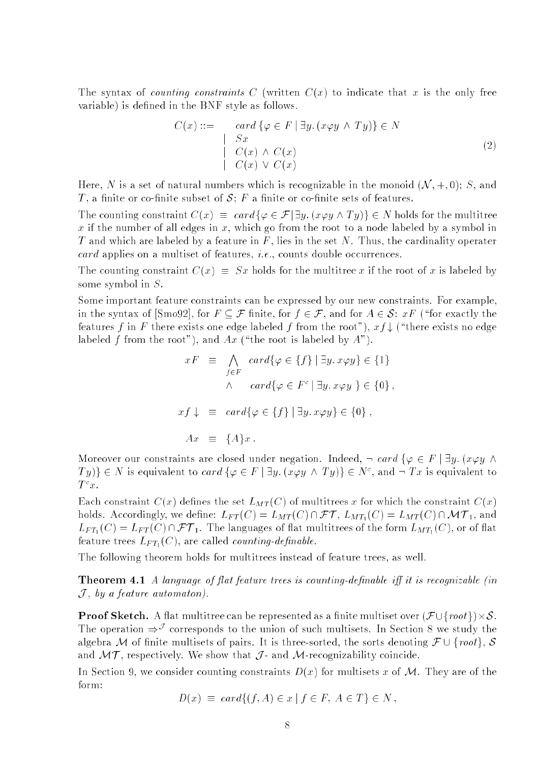The syntax of *counting constraints* C (written  $C(x)$  to indicate that x is the only free variable) is defined in the BNF style as follows.

$$
C(x) ::= \operatorname{card} \{ \varphi \in F \mid \exists y. (x \varphi y \land Ty) \} \in N
$$
  
\n
$$
\begin{array}{c} \mid & Sx \\ C(x) \land C(x) \\ \mid & C(x) \lor C(x) \end{array}
$$
 (2)

Here, N is a set of natural numbers which is recognizable in the monoid  $(\mathcal{N}, +, 0)$ ; S, and T, a finite or co-finite subset of  $S$ ; F a finite or co-finite sets of features.

The counting constraint  $C(x) \equiv card\{\varphi \in \mathcal{F} | \exists y. (x \varphi y \wedge Ty)\}\in N$  holds for the multitree x if the number of all edges in x, which go from the root to a node labeled by a symbol in T and which are labeled by a feature in F, lies in the set N. Thus, the cardinality operater card applies on a multiset of features, i.e., counts double occurrences.

The counting constraint  $C(x) \equiv Sx$  holds for the multitree x if the root of x is labeled by some symbol in S.

Some important feature constraints can be expressed by our new constraints. For example, in the syntax of [Smo92], for  $F \subseteq \mathcal{F}$  finite, for  $f \in \mathcal{F}$ , and for  $A \in \mathcal{S}$ :  $xF$  ("for exactly the features f in F there exists one edge labeled f from the root"),  $xf \downarrow$  ("there exists no edge labeled f from the root"), and  $Ax$  ("the root is labeled by  $A$ ").

$$
xF \equiv \bigwedge_{f \in F} card\{\varphi \in \{f\} \mid \exists y. x \varphi y\} \in \{1\}
$$

$$
\wedge card\{\varphi \in F^c \mid \exists y. x \varphi y\} \in \{0\},
$$

$$
xf \downarrow \equiv card\{\varphi \in \{f\} \mid \exists y. x \varphi y\} \in \{0\},
$$

$$
Ax \equiv \{A\}x.
$$

Moreover our constraints are closed under negation. Indeed,  $\neg$  card  $\{\varphi \in F \mid \exists y.$   $(x \varphi y \land \varphi)$  $I(y)\}\in N$  is equivalent to card  $\{\varphi \in F \mid \exists y.$  ( $x \varphi y \land I(y)\}\in N^{\circ}$ , and  $\neg I x$  is equivalent to  $1-x$  .

Each constraint  $C(x)$  defines the set  $L_{MT}(C)$  of multitrees x for which the constraint  $C(x)$ holds. Accordingly, we define:  $L_{FT}(C) = L_{MT}(C) \cap \mathcal{FT}$ ,  $L_{MT_1}(C) = L_{MT}(C) \cap \mathcal{MT}_1$ , and  $L_{FT_1}(C) = L_{FT}(C) \cap \mathcal{FT}_1$ . The languages of flat multitrees of the form  $L_{MT_1}(C)$ , or of flat feature trees  $L_{FT_1}(C)$ , are called *counting-definable*.

The following theorem holds for multitrees instead of feature trees, as well.

Theorem 4.1 A language of flat feature trees is counting-definable iff it is recognizable (in  $J$ , by a feature automaton).

Proof Sketch. A 
at multitree can be represented as a nite multiset over (F [frootg)-S. The operation  $\Rightarrow$  corresponds to the union of such multisets. In Section 8 we study the algebra M of finite multisets of pairs. It is three-sorted, the sorts denoting  $\mathcal{F} \cup \{root\}$ , S and  $\mathcal{MT}$ , respectively. We show that  $\mathcal{J}$ - and  $\mathcal{M}$ -recognizability coincide.

In Section 9, we consider counting constraints  $D(x)$  for multisets x of M. They are of the form:

$$
D(x) \equiv \operatorname{card}\{(f, A) \in x \mid f \in F, A \in T\} \in N ,
$$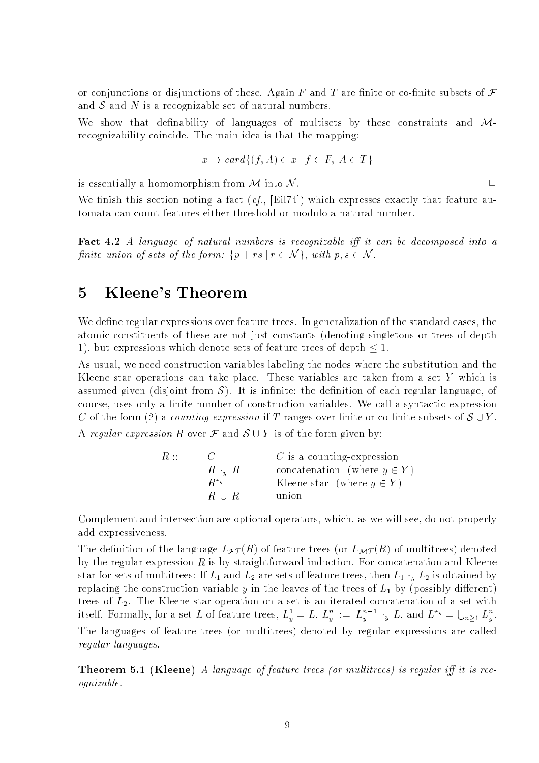or conjunctions or disjunctions of these. Again F and T are finite or co-finite subsets of  $\mathcal F$ and  $S$  and  $N$  is a recognizable set of natural numbers.

We show that definability of languages of multisets by these constraints and  $M$ recognizability coincide. The main idea is that the mapping:

$$
x \mapsto card\{(f, A) \in x \mid f \in F, A \in T\}
$$

 $\Box$ 

is essentially a homomorphism from  $\mathcal M$  into  $\mathcal N$ .

We finish this section noting a fact  $(cf., [Eil74])$  which expresses exactly that feature automata can count features either threshold or modulo a natural number.

**Fact 4.2** A language of natural numbers is recognizable iff it can be decomposed into a finite union of sets of the form:  $\{p + rs \mid r \in \mathcal{N}\}\$ , with  $p, s \in \mathcal{N}$ .

## 5 Kleene's Theorem

We define regular expressions over feature trees. In generalization of the standard cases, the atomic constituents of these are not just constants (denoting singletons or trees of depth 1), but expressions which denote sets of feature trees of depth  $\leq 1$ .

As usual, we need construction variables labeling the nodes where the substitution and the Kleene star operations can take place. These variables are taken from a set Y which is assumed given (disjoint from  $\mathcal{S}$ ). It is infinite; the definition of each regular language, of course, uses only a finite number of construction variables. We call a syntactic expression C of the form (2) a counting-expression if T ranges over finite or co-finite subsets of  $S \cup Y$ . A regular expression R over  $\mathcal F$  and  $\mathcal S \cup Y$  is of the form given by:

| $R ::=$ | $\sim$ 0.1    | $C$ is a counting-expression     |
|---------|---------------|----------------------------------|
|         | $R_{y}R_{y}$  | concatenation (where $y \in Y$ ) |
|         | $R^{\star y}$ | Kleene star (where $y \in Y$ )   |
|         | $R \cup R$    | union                            |

Complement and intersection are optional operators, which, as we will see, do not properly add expressiveness.

The definition of the language  $L_{\mathcal{FI}}(R)$  of feature trees (or  $L_{\mathcal{MT}}(R)$  of multitrees) denoted by the regular expression  $R$  is by straightforward induction. For concatenation and Kleene star for sets of multitrees: If  $L_1$  and  $L_2$  are sets of feature trees, then  $L_1 \cdot_y L_2$  is obtained by replacing the construction variable y in the leaves of the trees of  $L_1$  by (possibly different) trees of  $L_2$ . The Kleene star operation on a set is an iterated concatenation of a set with itself. Formally, for a set L of feature trees,  $L_y^1 = L$ ,  $L_y^n := L_y^{n-1} \cdot_y L$ , and  $L^{*_y} = \bigcup_{n>1} L_y^n$ . The languages of feature trees (or multitrees) denoted by regular expressions are called regular languages.

**Theorem 5.1 (Kleene)** A language of feature trees (or multitrees) is regular iff it is recognizable.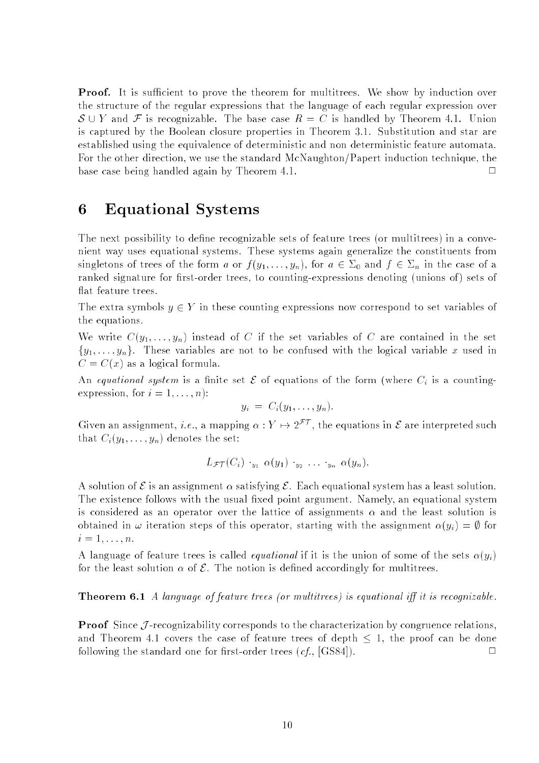**Proof.** It is sufficient to prove the theorem for multitrees. We show by induction over the structure of the regular expressions that the language of each regular expression over  $S \cup Y$  and F is recognizable. The base case  $R = C$  is handled by Theorem 4.1. Union is captured by the Boolean closure properties in Theorem 3.1. Substitution and star are established using the equivalence of deterministic and non deterministic feature automata. For the other direction, we use the standard McNaughton/Papert induction technique, the base case being handled again by Theorem 4.1.  $\Box$ 

## 6 Equational Systems

The next possibility to define recognizable sets of feature trees (or multitrees) in a convenient way uses equational systems. These systems again generalize the constituents from singletons of trees of the form a or  $f(y_1,\ldots,y_n)$ , for  $a \in \Sigma_0$  and  $f \in \Sigma_n$  in the case of a ranked signature for first-order trees, to counting-expressions denoting (unions of) sets of flat feature trees.

The extra symbols  $y \in Y$  in these counting expressions now correspond to set variables of the equations.

We write  $C(y_1, \ldots, y_n)$  instead of C if the set variables of C are contained in the set  ${y_1, \ldots, y_n}$ . These variables are not to be confused with the logical variable x used in  $C = C(x)$  as a logical formula.

An equational system is a finite set  $\mathcal E$  of equations of the form (where  $C_i$  is a countingexpression, for  $i = 1, \ldots, n$ :

$$
y_i = C_i(y_1,\ldots,y_n).
$$

Given an assignment, *i.e.*, a mapping  $\alpha : Y \mapsto 2^{\mathcal{FT}}$ , the equations in  $\mathcal E$  are interpreted such that  $C_i(y_1,\ldots,y_n)$  denotes the set:

$$
L_{\mathcal{FT}}(C_i) \cdot_{y_1} \alpha(y_1) \cdot_{y_2} \ldots \cdot_{y_n} \alpha(y_n).
$$

A solution of  $\mathcal E$  is an assignment  $\alpha$  satisfying  $\mathcal E$ . Each equational system has a least solution. The existence follows with the usual fixed point argument. Namely, an equational system is considered as an operator over the lattice of assignments  $\alpha$  and the least solution is obtained in  $\omega$  iteration steps of this operator, starting with the assignment  $\alpha(y_i) = \emptyset$  for  $i=1,\ldots,n$ .

A language of feature trees is called *equational* if it is the union of some of the sets  $\alpha(y_i)$ for the least solution  $\alpha$  of  $\mathcal E$ . The notion is defined accordingly for multitrees.

## **Theorem 6.1** A language of feature trees (or multitrees) is equational iff it is recognizable.

**Proof** Since  $J$ -recognizability corresponds to the characterization by congruence relations, and Theorem 4.1 covers the case of feature trees of depth  $\leq$  1, the proof can be done following the standard one for first-order trees  $(cf, [GS84])$ .  $\Box$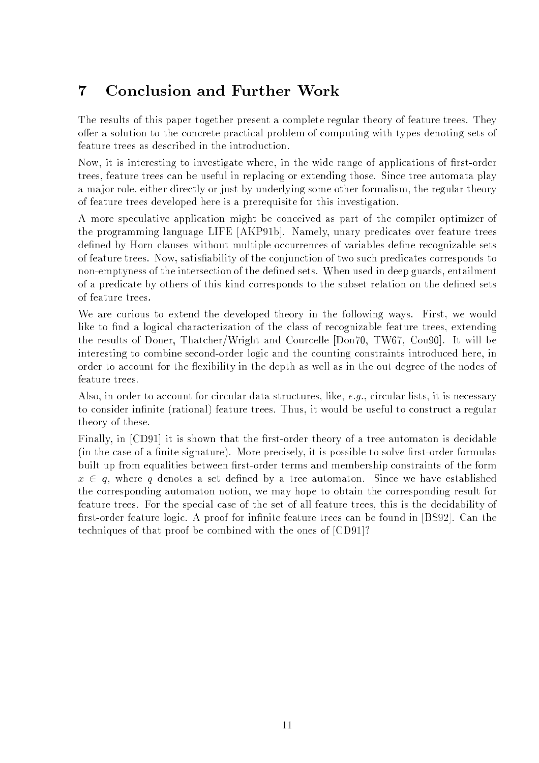The results of this paper together present a complete regular theory of feature trees. They offer a solution to the concrete practical problem of computing with types denoting sets of feature trees as described in the introduction.

Now, it is interesting to investigate where, in the wide range of applications of first-order trees, feature trees can be useful in replacing or extending those. Since tree automata play a major role, either directly or just by underlying some other formalism, the regular theory of feature trees developed here is a prerequisite for this investigation.

A more speculative application might be conceived as part of the compiler optimizer of the programming language LIFE [AKP91b]. Namely, unary predicates over feature trees defined by Horn clauses without multiple occurrences of variables define recognizable sets of feature trees. Now, satisability of the conjunction of two such predicates corresponds to non-emptyness of the intersection of the defined sets. When used in deep guards, entailment of a predicate by others of this kind corresponds to the subset relation on the dened sets of feature trees.

We are curious to extend the developed theory in the following ways. First, we would like to find a logical characterization of the class of recognizable feature trees, extending the results of Doner, Thatcher/Wright and Courcelle [Don70, TW67, Cou90]. It will be interesting to combine second-order logic and the counting constraints introduced here, in order to account for the flexibility in the depth as well as in the out-degree of the nodes of feature trees.

Also, in order to account for circular data structures, like,  $e.g.,$  circular lists, it is necessary to consider infinite (rational) feature trees. Thus, it would be useful to construct a regular theory of these.

Finally, in [CD91] it is shown that the first-order theory of a tree automaton is decidable (in the case of a finite signature). More precisely, it is possible to solve first-order formulas built up from equalities between first-order terms and membership constraints of the form  $x \in q$ , where q denotes a set defined by a tree automaton. Since we have established the corresponding automaton notion, we may hope to obtain the corresponding result for feature trees. For the special case of the set of all feature trees, this is the decidability of first-order feature logic. A proof for infinite feature trees can be found in [BS92]. Can the techniques of that proof be combined with the ones of [CD91]?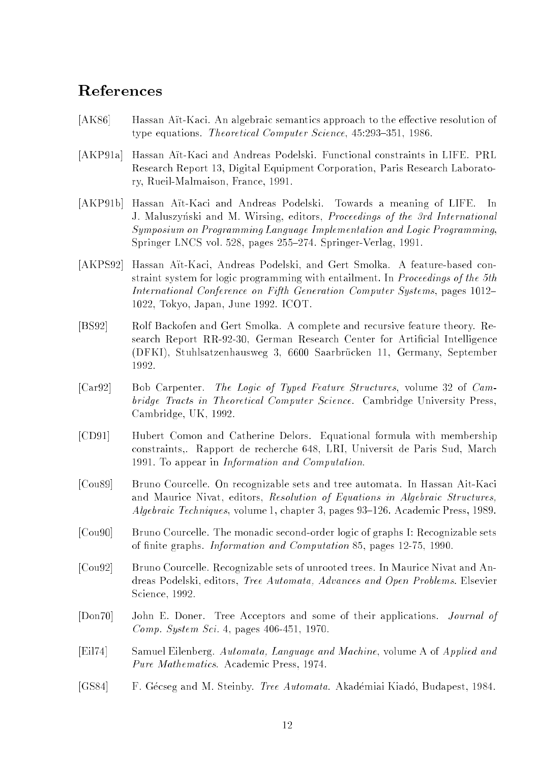- [AK86] Hassan Att-Kaci. An algebraic semantics approach to the effective resolution of type equations. Theoretical Computer Science, 45:293-351, 1986.
- [AKP91a] Hassan Aït-Kaci and Andreas Podelski. Functional constraints in LIFE. PRL Research Report 13, Digital Equipment Corporation, Paris Research Laboratory, Rueil-Malmaison, France, 1991.
- [AKP91b] Hassan Aït-Kaci and Andreas Podelski. Towards a meaning of LIFE. In J. Maluszynski and M. Wirsing, editors, Proceedings of the 3rd International Symposium on Programming Language Implementation and Logic Programming, Springer LNCS vol. 528, pages 255-274. Springer-Verlag, 1991.
- [AKPS92] Hassan Aït-Kaci, Andreas Podelski, and Gert Smolka. A feature-based constraint system for logic programming with entailment. In Proceedings of the 5th International Conference on Fifth Generation Computer Systems, pages 1012– 1022, Tokyo, Japan, June 1992. ICOT.
- [BS92] Rolf Backofen and Gert Smolka. A complete and recursive feature theory. Research Report RR-92-30, German Research Center for Artificial Intelligence (DFKI), Stuhlsatzenhausweg 3, 6600 Saarbrucken 11, Germany, September 1992.
- [Car92] Bob Carpenter. The Logic of Typed Feature Structures, volume 32 of Cambridge Tracts in Theoretical Computer Science. Cambridge University Press, Cambridge, UK, 1992.
- [CD91] Hubert Comon and Catherine Delors. Equational formula with membership constraints,. Rapport de recherche 648, LRI, Universit de Paris Sud, March 1991. To appear in Information and Computation.
- [Cou89] Bruno Courcelle. On recognizable sets and tree automata. In Hassan Ait-Kaci and Maurice Nivat, editors, Resolution of Equations in Algebraic Structures, Algebraic Techniques, volume 1, chapter 3, pages 93–126. Academic Press, 1989.
- [Cou90] Bruno Courcelle. The monadic second-order logic of graphs I: Recognizable sets of finite graphs. *Information and Computation* 85, pages 12-75, 1990.
- [Cou92] Bruno Courcelle. Recognizable sets of unrooted trees. In Maurice Nivat and Andreas Podelski, editors, Tree Automata, Advances and Open Problems. Elsevier Science, 1992.
- [Don70] John E. Doner. Tree Acceptors and some of their applications. Journal of Comp. System Sci. 4, pages 406-451, 1970.
- [Eil74] Samuel Eilenberg. Automata, Language and Machine, volume A of Applied and Pure Mathematics. Academic Press, 1974.
- [GS84] F. Gécseg and M. Steinby. Tree Automata. Akadémiai Kiadó, Budapest, 1984.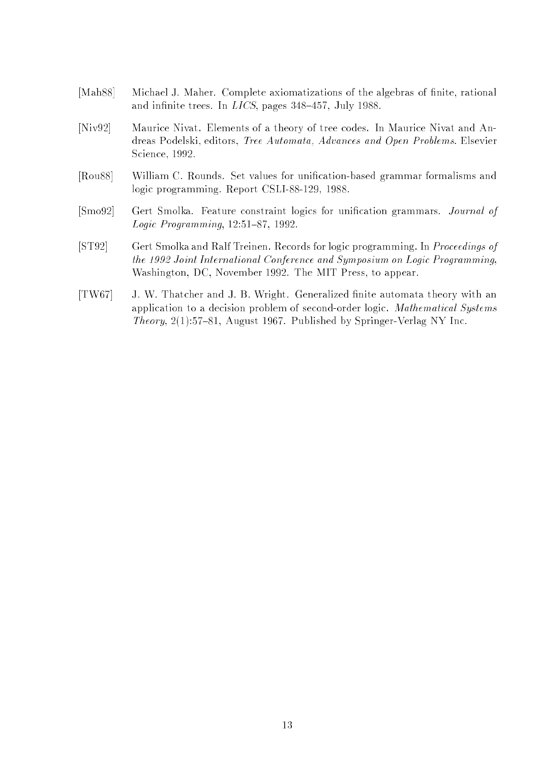- [Mah88] Michael J. Maher. Complete axiomatizations of the algebras of finite, rational and infinite trees. In  $LICS$ , pages 348-457, July 1988.
- [Niv92] Maurice Nivat. Elements of a theory of tree codes. In Maurice Nivat and Andreas Podelski, editors, Tree Automata, Advances and Open Problems. Elsevier Science, 1992.
- [Rou88] William C. Rounds. Set values for unication-based grammar formalisms and logic programming. Report CSLI-88-129, 1988.
- [Smo92] Gert Smolka. Feature constraint logics for unification grammars. *Journal of* Logic Programming,  $12:51-87$ ,  $1992$ .
- [ST92] Gert Smolka and Ralf Treinen. Records for logic programming. In Proceedings of the 1992 Joint International Conference and Symposium on Logic Programming, Washington, DC, November 1992. The MIT Press, to appear.
- [TW67] J. W. Thatcher and J. B. Wright. Generalized nite automata theory with an application to a decision problem of second-order logic. Mathematical Systems *Theory*,  $2(1):57{-}81$ , August 1967. Published by Springer-Verlag NY Inc.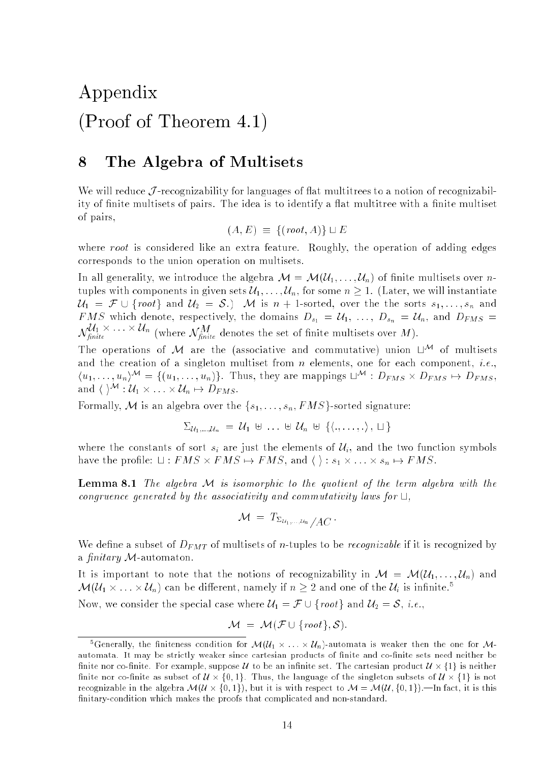# Appendix (Proof of Theorem 4.1)

#### 8 The Algebra of Multisets

We will reduce  $\mathcal J$ -recognizability for languages of flat multitrees to a notion of recognizability of finite multisets of pairs. The idea is to identify a flat multitree with a finite multiset of pairs,

$$
(A, E) \equiv \{ (root, A) \} \sqcup E
$$

where root is considered like an extra feature. Roughly, the operation of adding edges corresponds to the union operation on multisets.

In all generality, we introduce the algebra  $\mathcal{M} = \mathcal{M}(\mathcal{U}_1, \ldots, \mathcal{U}_n)$  of finite multisets over *n*tuples with components in given sets  $\mathcal{U}_1, \ldots, \mathcal{U}_n$ , for some  $n \geq 1$ . (Later, we will instantiate  $\mathcal{U}_1 = \mathcal{F} \cup \{root\}$  and  $\mathcal{U}_2 = \mathcal{S}.$  M is  $n + 1$ -sorted, over the the sorts  $s_1, \ldots, s_n$  and FMS which denote, respectively, the domains  $D_{s_1} = U_1, \ldots, D_{s_n} = U_n$ , and  $D_{FMS} =$  $\mathcal{N}_{finite}$  (where  $\mathcal{N}_{finite}^{i*}$  denotes the set of finite multisets over M).

The operations of M are the (associative and commutative) union  $\sqcup^{\mathcal{M}}$  of multisets and the creation of a singleton multiset from  $n$  elements, one for each component, *i.e.*,  $(u_1, \ldots, u_n)$ <sup> $\cdots$ </sup> = { $(u_1, \ldots, u_n)$ }. Thus, they are mappings  $\sqcup$   $\cdots$  :  $D_{FMS} \times D_{FMS} \mapsto D_{FMS}$ , and ( )  $\cdots$   $\mathcal{U}_1 \times \cdots \times \mathcal{U}_n \mapsto D_{FMS}$ .

Formally, M is an algebra over the  $\{s_1, \ldots, s_n, FMS\}$ -sorted signature:

$$
\Sigma_{\mathcal{U}_1,\ldots,\mathcal{U}_n} = \mathcal{U}_1 \uplus \ldots \uplus \mathcal{U}_n \uplus \{\langle \ldots,\ldots,\ldots \rangle \mid \sqcup \}
$$

where the constants of sort  $s_i$  are just the elements of  $\mathcal{U}_i$ , and the two function symbols have the prole: <sup>t</sup> : FMS - FMS 7! FMS, and h i : s1 - : : : - sn 7! FMS.

**Lemma 8.1** The algebra  $M$  is isomorphic to the quotient of the term algebra with the congruence generated by the associativity and commutativity laws for  $\sqcup$ ,

$$
\mathcal{M} \ = \ T_{\Sigma_{\mathcal{U}_1,\dots,\mathcal{U}_n}}/AC \, \cdot
$$

We define a subset of  $D_{FMT}$  of multisets of *n*-tuples to be *recognizable* if it is recognized by a finitary  $M$ -automaton.

It is important to note that the notions of recognizability in  $M = \mathcal{M}(\mathcal{U}_1, \ldots, \mathcal{U}_n)$  and  $\mathcal{M}(\mathcal{U}_1 \times \ldots \times \mathcal{U}_n)$  can be different, namely if  $n \geq 2$  and one of the  $\mathcal{U}_i$  is infinite.

Now, we consider the special case where  $\mathcal{U}_1 = \mathcal{F} \cup \{root\}$  and  $\mathcal{U}_2 = \mathcal{S}, i.e.,$ 

$$
\mathcal{M} = \mathcal{M}(\mathcal{F} \cup \{root\}, \mathcal{S}).
$$

<sup>&</sup>quot;Generally, the imiteness condition for  $\mathcal{M}(U_1 \times \ldots \times U_n)$ -automata is weaker then the one for  $\mathcal{M}$ automata. It may be strictly weaker since cartesian products of nite and co-nite sets need neither be nite nor co-nite. For example, suppose <sup>U</sup> to be an innite set. The cartesian product U - f1g is neither mitted that we immediate subset of  $\mu$   $\sim$   $\mu$ ,  $\sim$   $\mu$ ,  $\sim$   $\mu$ ,  $\sim$   $\mu$ ,  $\mu$ ,  $\mu$ ,  $\mu$ ,  $\mu$ ,  $\mu$ ,  $\mu$ ,  $\mu$ ,  $\mu$ ,  $\mu$ ,  $\mu$ ,  $\mu$ ,  $\mu$ ,  $\mu$ ,  $\mu$ ,  $\mu$ ,  $\mu$ ,  $\mu$ ,  $\mu$ ,  $\mu$ ,  $\mu$ ,  $\mu$ ,  $\mu$ ,  $\mu$ , recognizable in the algebra M(U - f0; 1g), but it is with respect to <sup>M</sup> <sup>=</sup> M(U; f0; 1g).|In fact, it is this nitary-condition which makes the proofs that complicated and non-standard.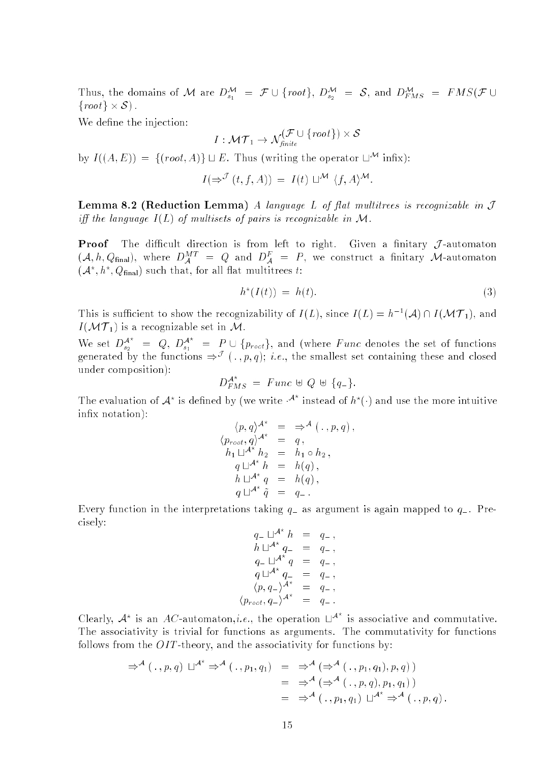Thus, the domains of M are  $D_{s_1}^s = \mathcal{F} \cup \{root\}, D_{s_2}^s = \mathcal{S}$ , and  $D_{FMS}^r = FMS(\mathcal{F} \cup \mathcal{F})$ from the system of  $\sim$  system of  $\sim$ 

We define the injection:

$$
I:\mathcal{MT}_1\rightarrow \mathcal{N}^{\left(\mathcal{F}\cup\ \{root\}\right)}_{\textit{finite}}\times\mathcal{S}
$$

by  $I((A, E)) = \{(root, A)\}\sqcup E$ . Thus (writing the operator  $\sqcup^{\mathcal{M}}$  infix):

$$
I(\Rightarrow^{\mathcal{J}}(t,f,A)) = I(t) \sqcup^{\mathcal{M}} \langle f,A \rangle^{\mathcal{M}}.
$$

**Lemma 8.2 (Reduction Lemma)** A language L of flat multitrees is recognizable in  $J$ iff the language  $I(L)$  of multisets of pairs is recognizable in M.

**Proof** The difficult direction is from left to right. Given a finitary  $\mathcal{J}$ -automaton  $(\mathcal{A}, h, Q_{\text{final}})$ , where  $D_A^T = Q$  and  $D_A^T = P$ , we construct a finitary M-automaton  $({\cal A}^n, h^n, Q_{\rm final})$  such that, for all hat multitrees t:

$$
h^*(I(t)) = h(t). \tag{3}
$$

This is sufficient to show the recognizability of  $I(L)$ , since  $I(L) = h^{-1}(A) \prod I(\mathcal{M}I_1)$ , and In the matrix is a recognizable set in  $\mathcal{M}$  is a recognizable set in M. S. and S. and S. and S. and S. and S. and S. and S. and S. and S. and S. and S. and S. and S. and S. and S. and S. and S. and S. and S. and S. an

We set  $D_{s_2}^{A^*} = Q, D_{s_1}^{A^*} = P \cup \{p_{root}\},$  and (where Func denotes the set of functions generated by the functions  $\Rightarrow^{\circ}$  (,,p,q); i.e., the smallest set containing these and closed under composition):

$$
D_{FMS}^{A^*} = \text{Func} \oplus Q \oplus \{q_-\}.
$$

The evaluation of  $\mathcal{A}^*$  is defined by (we write  $\mathcal{A}^*$  instead of  $h^*(\cdot)$  and use the more intuitive inx notation):

$$
\langle p, q \rangle^{A^*} = \Rightarrow^{\mathcal{A}} (., p, q),
$$
  
\n
$$
\langle p_{root}, q \rangle^{A^*} = q,
$$
  
\n
$$
h_1 \sqcup^{A^*} h_2 = h_1 \circ h_2,
$$
  
\n
$$
q \sqcup^{A^*} h = h(q),
$$
  
\n
$$
h \sqcup^{A^*} q = h(q),
$$
  
\n
$$
q \sqcup^{A^*} \tilde{q} = q_-.
$$

Every function in the interpretations taking  $q$  as argument is again mapped to  $q$ . Precisely:

$$
q_{-} \sqcup^{A^*} h = q_{-},
$$
  
\n
$$
h \sqcup^{A^*} q_{-} = q_{-},
$$
  
\n
$$
q_{-} \sqcup^{A^*} q = q_{-},
$$
  
\n
$$
q \sqcup^{A^*} q_{-} = q_{-},
$$
  
\n
$$
\langle p, q_{-} \rangle^{A^*} = q_{-},
$$
  
\n
$$
\langle p_{root}, q_{-} \rangle^{A^*} = q_{-}.
$$

Clearly,  $A^*$  is an AC-automaton,*i.e.*, the operation  $\Box^{A^*}$  is associative and commutative. The associativity is trivial for functions as arguments. The commutativity for functions follows from the  $OIT$ -theory, and the associativity for functions by:

$$
\begin{array}{rcl}\n\Rightarrow^{\mathcal{A}}(\,\cdot\,,p,q)\sqcup^{\mathcal{A}^*}\Rightarrow^{\mathcal{A}}(\,\cdot\,,p_1,q_1) & = & \Rightarrow^{\mathcal{A}}\left(\Rightarrow^{\mathcal{A}}(\,\cdot\,,p_1,q_1),p,q\right) \\
& = & \Rightarrow^{\mathcal{A}}\left(\Rightarrow^{\mathcal{A}}(\,\cdot\,,p_1,q_1),p,q_1\right) \\
& = & \Rightarrow^{\mathcal{A}}(\,\cdot\,,p_1,q_1)\sqcup^{\mathcal{A}^*}\Rightarrow^{\mathcal{A}}(\,\cdot\,,p,q)\,. \n\end{array}
$$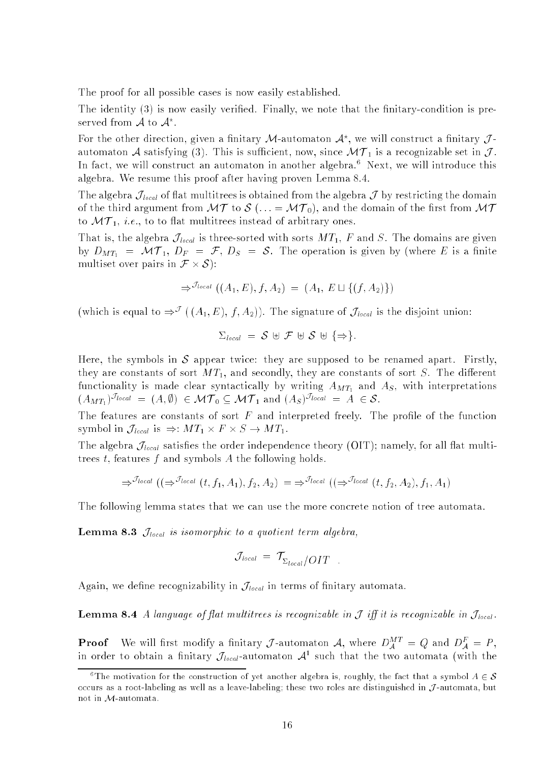The proof for all possible cases is now easily established.

The identity  $(3)$  is now easily verified. Finally, we note that the finitary-condition is preserved from A to A<sup>-</sup>.

For the other direction, given a military *J* - automaton  $A^{\circ}$ , we will construct a military  $J$  automaton A satisfying (3). This is such a recognizable set in  $\mathbf{v}$  . This are constant  $\mathbf{v}$ In fact, we will construct an automaton in another algebra.<sup>6</sup> Next, we will introduce this algebra. We resume this proof after having proven Lemma 8.4.

The algebra  $\mathcal{J}_{local}$  of flat multitrees is obtained from the algebra  $\mathcal{J}$  by restricting the domain of the third argument from  $\mathbf{M}$  to  $\mathbf{M}$  (: :  $\mathbf{M}$  ,  $\mathbf{M}$ ), and the domain of the domain  $\mathbf{M}$ to MT 1, i.e., to to at multitrees instead of arbitrary ones.

That is, the algebra  $\mathcal{J}_{local}$  is three-sorted with sorts  $MT_1$ , F and S. The domains are given by  $D_{MT_1} = \mathcal{MT}_1$ ,  $D_F = \mathcal{F}$ ,  $D_S = \mathcal{S}$ . The operation is given by (where E is a finite multiple over pairs in F  $\sim$  -s  $\sim$  -s  $\sim$  -s  $\sim$  -s  $\sim$  -s  $\sim$  s  $\sim$  s  $\sim$  s  $\sim$  s  $\sim$  s  $\sim$  s  $\sim$  s  $\sim$  s  $\sim$  s  $\sim$  s  $\sim$  s  $\sim$  s  $\sim$  s  $\sim$  s  $\sim$  s  $\sim$  s  $\sim$  s  $\sim$  s  $\sim$  s  $\sim$  s  $\sim$  s  $\sim$  s  $\$ 

$$
\Rightarrow^{\mathcal{J}_{local}} ((A_1, E), f, A_2) = (A_1, E \sqcup \{(f, A_2)\})
$$

(which is equal to  $\Rightarrow^{\mathcal{L}}$  ((A<sub>1</sub>, E), J, A<sub>2</sub>)). The signature of  $J_{local}$  is the disjoint union:

$$
\Sigma_{\text{local}} = S \uplus \mathcal{F} \uplus S \uplus \{\Rightarrow\}.
$$

Here, the symbols in  $S$  appear twice: they are supposed to be renamed apart. Firstly, they are constants of sort  $MT_1$ , and secondly, they are constants of sort S. The different functionality is made clear syntactically by writing  $A_{MT_1}$  and  $A_S$ , with interpretations  $(A_{MT_1})^{J_{local}} = (A, \emptyset) \in \mathcal{MT}_0 \subseteq \mathcal{MT}_1$  and  $(A_S)^{J_{local}} = A \in \mathcal{S}$ .

The features are constants of sort  $F$  and interpreted freely. The profile of the function symbol is the  $\bigcup_{i=1}^n U_i$  and is  $i=1,2,\ldots,n$  . It is a set of  $\bigcup_{i=1}^n U_i$ 

The algebra  $\mathcal{J}_{local}$  satisfies the order independence theory (OIT); namely, for all flat multitrees  $t$ , features  $f$  and symbols  $A$  the following holds.

$$
\Rightarrow^{\mathcal{J}_{local}} ((\Rightarrow^{\mathcal{J}_{local}} (t, f_1, A_1), f_2, A_2) = \Rightarrow^{\mathcal{J}_{local}} ((\Rightarrow^{\mathcal{J}_{local}} (t, f_2, A_2), f_1, A_1))
$$

The following lemma states that we can use the more concrete notion of tree automata.

**Lemma 8.3**  $\mathcal{J}_{local}$  is isomorphic to a quotient term algebra,

$$
\mathcal{J}_{local} = \mathcal{T}_{\Sigma_{local}} / OIT
$$

Again, we define recognizability in  $\mathcal{J}_{local}$  in terms of finitary automata.

**Lemma 8.4** A language of flat multitrees is recognizable in  $\mathcal{J}$  iff it is recognizable in  $\mathcal{J}_{local}$ .

**Proof** We will first modify a finitary *J*-automaton A, where  $D_A^{\alpha+} = Q$  and  $D_A^{\alpha} = P$ , in order to obtain a niitary  $J_{\mathit{local}}$ -automaton  $\mathcal{A}^\text{-}$  such that the two automata (with the

<sup>&</sup>lt;sup>6</sup>The motivation for the construction of yet another algebra is, roughly, the fact that a symbol  $A \in \mathcal{S}$ occurs as a root-labeling as well as a leave-labeling; these two roles are distinguished in J -automata, but not in M-automata.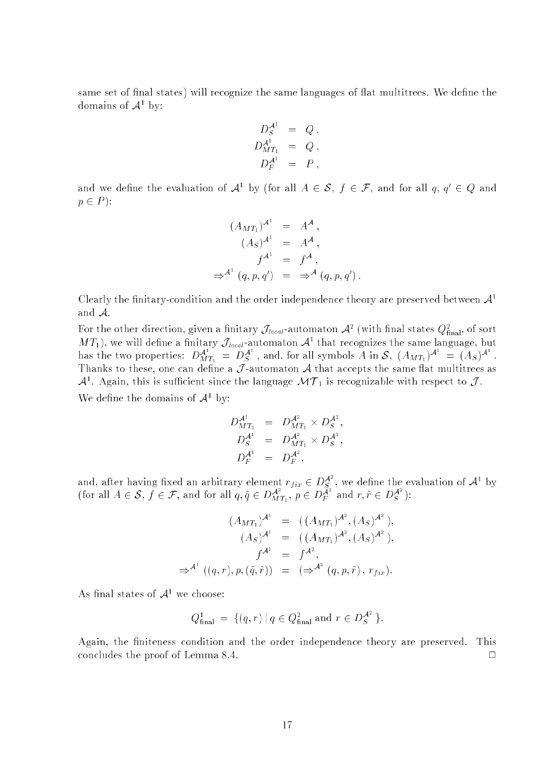same set of final states) will recognize the same languages of flat multitrees. We define the domains of <sup>A</sup><sup>1</sup> by:

$$
D_S^{\mathcal{A}^1} = Q,
$$
  
\n
$$
D_{MT_1}^{\mathcal{A}^1} = Q,
$$
  
\n
$$
D_F^{\mathcal{A}^1} = P,
$$

and we define the evaluation of  $\mathcal{A}^+$  by tior all  $A\in\mathcal{S},$   $\tau\in\mathcal{F},$  and for all  $q,\,q\,\in\,Q$  and  $p \in P$ :

$$
(A_{MT_1})^{A^1} = A^A,
$$
  
\n
$$
(A_S)^{A^1} = A^A,
$$
  
\n
$$
f^{A^1} = f^A,
$$
  
\n
$$
\Rightarrow^{A^1} (q, p, q') = \Rightarrow^{A} (q, p, q').
$$

Clearly the finitary-condition and the order independence theory are preserved between  $\mathcal{A}^1$ and A.

For the other direction, given a nimtary  $J_{local}$ -automaton  $\mathcal{A}^-$  (with mial states  $Q^2_B$ nal, of sort M  $I_1$ ), we will define a finitary  $J_{local}$ -automaton  $A^*$  that recognizes the same language, but has the two properties:  $D_{MT_1}^{\mathcal{A}^1} = D_S^{\mathcal{A}^1}$ , and, for all symbols A in S,  $(A_{MT_1})^{\mathcal{A}^1} = (A_S)^{\mathcal{A}^1}$ . Thanks to the same can define a J -automaton A that accepts the same can define a  $\mathcal{A}$  $\mathcal{A}^+$ . Again, this is sufficient since the language  $\mathcal{M}(T_1)$  is recognizable with respect to  $J$  . we define the domains of  $A^+$  by:

$$
D_{MT_1}^{A^1} = D_{MT_1}^{A^2} \times D_S^{A^2},
$$
  
\n
$$
D_S^{A^1} = D_{MT_1}^{A^2} \times D_S^{A^2},
$$
  
\n
$$
D_F^{A^1} = D_F^{A^2},
$$

and, after having fixed an arbitrary element  $r_{fix} \in D_{\mathcal{S}}^{\mathcal{A}^2}$ , we define the evaluation of  $\mathcal{A}^1$  by (for all  $A \in \mathcal{S}$ ,  $f \in \mathcal{F}$ , and for all  $q, \tilde{q} \in D_{MT_1}^{\mathcal{A}^2}$ ,  $p \in D_F^{\mathcal{A}^2}$  and  $r, \tilde{$ 

$$
(A_{MT_1})^{A^1} = ((A_{MT_1})^{A^2}, (A_S)^{A^2}),
$$
  
\n
$$
(A_S)^{A^1} = ((A_{MT_1})^{A^2}, (A_S)^{A^2}),
$$
  
\n
$$
f^{A^1} = f^{A^2},
$$
  
\n
$$
\Rightarrow^{A^1} ((q, r), p, (\tilde{q}, \tilde{r})) = (\Rightarrow^{A^2} (q, p, \tilde{r}), r_{fix}).
$$

As initial states of  $A<sup>-</sup>$  we choose:

$$
Q_{\text{final}}^1 = \{ (q, r) \mid q \in Q_{\text{final}}^2 \text{ and } r \in D_S^{\mathcal{A}^2} \}.
$$

Again, the finiteness condition and the order independence theory are preserved. This concludes the proof of Lemma 8.4.  $\Box$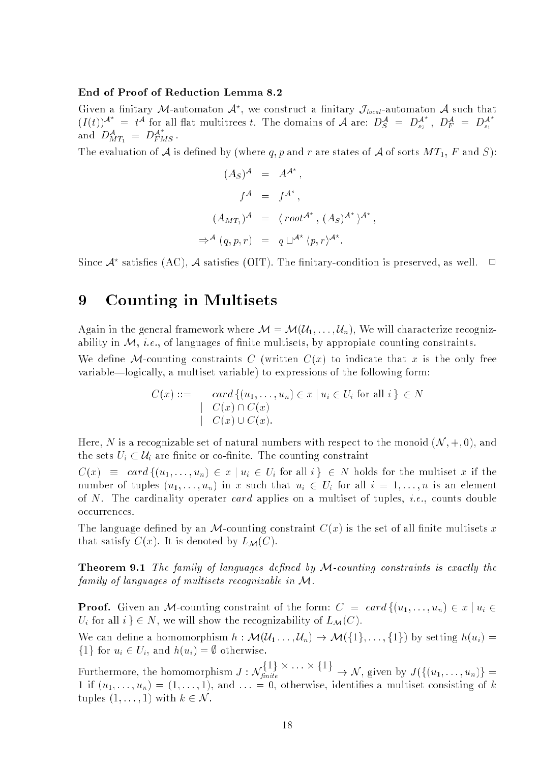### End of Proof of Reduction Lemma 8.2

Given a niitary *I* -automaton  $\mathcal{A}^n$ , we construct a niitary  $J_{local}$ -automaton  $\mathcal{A}$  such that  $(I(t))^{A^{n}} = t^{A}$  for all flat multitrees t. The domains of A are:  $D_{S}^{A} = D_{s_{2}}^{A^{n}}$ ,  $D_{F}^{A} = D_{s_{1}}^{A^{n}}$ and  $D_{MT_1}^A = D_{FMS}^A$ .

The evaluation of A is defined by (where q, p and r are states of A of sorts  $MT_1$ , F and S):

$$
(A_S)^{\mathcal{A}} = A^{\mathcal{A}^*},
$$
  
\n
$$
f^{\mathcal{A}} = f^{\mathcal{A}^*},
$$
  
\n
$$
(A_{MT_1})^{\mathcal{A}} = \langle root^{\mathcal{A}^*}, (A_S)^{\mathcal{A}^*} \rangle^{\mathcal{A}^*}
$$
  
\n
$$
\Rightarrow^{\mathcal{A}} (q, p, r) = q \sqcup^{\mathcal{A}^*} \langle p, r \rangle^{\mathcal{A}^*}.
$$

Since  $\mathcal A^*$  satisfies (AC),  $\mathcal A$  satisfies (OIT). The finitary-condition is preserved, as well.  $\Box$ 

## 9 Counting in Multisets

Again in the general framework where  $\mathcal{M} = \mathcal{M}(\mathcal{U}_1, \ldots, \mathcal{U}_n)$ , We will characterize recognizability in  $M$ , *i.e.*, of languages of finite multisets, by appropiate counting constraints.

We define M-counting constraints C (written  $C(x)$  to indicate that x is the only free variable—logically, a multiset variable) to expressions of the following form:

$$
C(x) ::= \operatorname{card} \{ (u_1, \dots, u_n) \in x \mid u_i \in U_i \text{ for all } i \} \in N
$$
  
\n
$$
\begin{array}{c} | & C(x) \cap C(x) \\ | & C(x) \cup C(x). \end{array}
$$

Here, N is a recognizable set of natural numbers with respect to the monoid  $(N, +, 0)$ , and the sets  $U_i \subset \mathcal{U}_i$  are finite or co-finite. The counting constraint

 $C(x) \equiv card \{(u_1, \ldots, u_n) \in x \mid u_i \in U_i \text{ for all } i \} \in N \text{ holds for the multiset } x \text{ if the }$ number of tuples  $(u_1, \ldots, u_n)$  in x such that  $u_i \in U_i$  for all  $i = 1, \ldots, n$  is an element of N. The cardinality operater card applies on a multiset of tuples, *i.e.*, counts double occurrences.

The language defined by an M-counting constraint  $C(x)$  is the set of all finite multisets x that satisfy  $C(x)$ . It is denoted by  $L_{\mathcal{M}}(C)$ .

**Theorem 9.1** The family of languages defined by  $M$ -counting constraints is exactly the family of languages of multisets recognizable in M.

**Proof.** Given an M-counting constraint of the form:  $C = card{(u_1, ..., u_n) \in x \mid u_i \in x]}$  $U_i$  for all  $i \n\in N$ , we will show the recognizability of  $L_{\mathcal{M}}(C)$ .

We can define a homomorphism  $h : \mathcal{M}(\mathcal{U}_1 \dots, \mathcal{U}_n) \to \mathcal{M}(\{1\}, \dots, \{1\})$  by setting  $h(u_i)$  $\{1\}$  for  $u_i \in U_i$ , and  $h(u_i) = \emptyset$  otherwise.

Furthermore, the homomorphism  $J : \mathcal{N}_{g_1,g_2}$  $n$  , and the set of the set of the set of the set of the set of the set of the set of the set of the set of the set of the set of the set of the set of the set of the set of the set of the set of the set of the set of th 1 if (u1; : : : ; un) = (1; : : : ; 1), and : : : = 0, otherwise, identies a multiset consisting of k tuples  $(1, \ldots, 1)$  with  $k \in \mathcal{N}$ .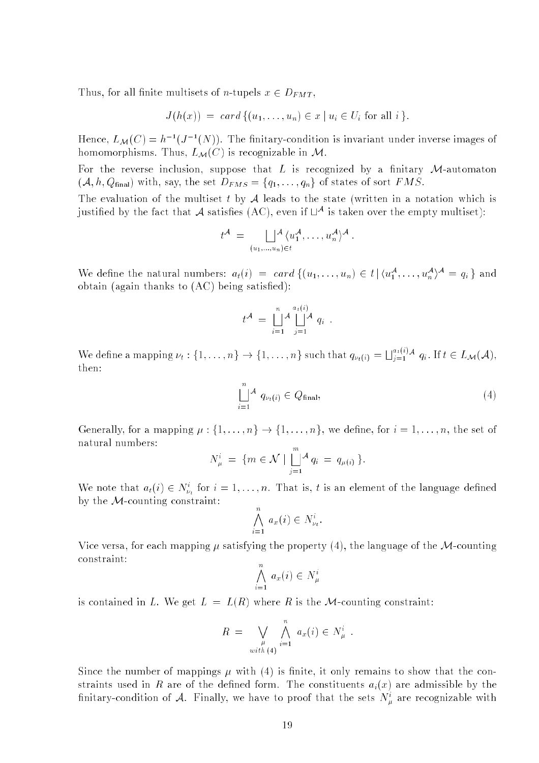Thus, for all finite multisets of *n*-tupels  $x \in D_{FMT}$ ,

$$
J(h(x)) = card \{ (u_1, \ldots, u_n) \in x \mid u_i \in U_i \text{ for all } i \}.
$$

Hence,  $L_M(U) = n^{-1} (J^{-1}(N))$ . The nitrary-condition is invariant under inverse images of homomorphisms. Thus,  $L_{\mathcal{M}}(C)$  is recognizable in  $\mathcal{M}$ .

For the reverse inclusion, suppose that  $L$  is recognized by a finitary  $M$ -automaton  $(\mathcal{A}, h, Q_{\text{final}})$  with, say, the set  $D_{FMS} = \{q_1, \ldots, q_n\}$  of states of sort  $FMS$ .

The evaluation of the multiset t by  $A$  leads to the state (written in a notation which is  $\mu$ stified by the fact that  $\mathcal A$  satisfies (AU), even if  $\mathbb L^\infty$  is taken over the empty multiset):

$$
t^{\mathcal{A}} = \bigsqcup_{(u_1,\ldots,u_n)\in t} \langle u_1^{\mathcal{A}},\ldots,u_n^{\mathcal{A}}\rangle^{\mathcal{A}}
$$

We define the natural numbers:  $a_t(i) = cara_{\{u_1,\ldots,u_n\} \in \{u'_1,\ldots,u'_n\}} = q_i$  and obtain (again thanks to  $(AC)$  being satisfied):

$$
t^{\mathcal{A}} = \bigsqcup_{i=1}^{n} \mathcal{A} \bigsqcup_{j=1}^{a_t(i)} \mathcal{A} q_i .
$$

We define a mapping  $\nu_i : \{1, \ldots, n\} \to \{1, \ldots, n\}$  such that  $q_{\nu_i(i)} = \bigsqcup_{i=1}^{u_i(i)}$  $q_{i-1}$   $q_i$  . If  $i \in L_{\mathcal{M}}(\mathcal{A}),$ then:

$$
\bigcup_{i=1}^{n} \mathcal{A} \ q_{\nu_t(i)} \in Q_{\text{final}},\tag{4}
$$

Generally, for a mapping  $\mu: \{1, \ldots, n\} \to \{1, \ldots, n\}$ , we define, for  $i = 1, \ldots, n$ , the set of natural numbers:

$$
N_{\mu}^{i} = \{ m \in \mathcal{N} \mid \bigsqcup_{j=1}^{m} A q_{i} = q_{\mu(i)} \}.
$$

We note that  $a_t(i) \in N_{\nu_t}$  for  $i = 1, \ldots, n$ . That is, t is an element of the language defined by the  $M$ -counting constraint:

$$
\bigwedge_{i=1}^n a_x(i) \in N_{\nu_t}^i.
$$

Vice versa, for each mapping  $\mu$  satisfying the property (4), the language of the M-counting constraint:

$$
\bigwedge_{i=1}^n a_x(i) \in N^i_\mu
$$

is contained in L. We get  $L = L(R)$  where R is the M-counting constraint:

$$
R = \bigvee_{\substack{\mu \\ with (4)}} \bigwedge_{i=1}^n a_x(i) \in N^i_\mu .
$$

Since the number of mappings  $\mu$  with (4) is finite, it only remains to show that the constraints used in R are of the defined form. The constituents  $a_i(x)$  are admissible by the military-condition of  $A$ . Finally, we have to proof that the sets  $N_u^+$  are recognizable with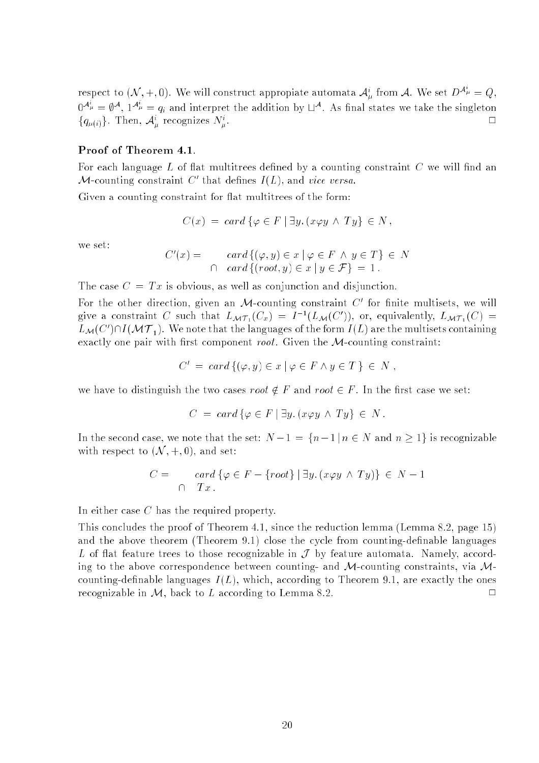respect to  $(N, +, 0)$ . We will construct appropiate automata  ${\cal A}^i_\mu$  from A. We set  $D^{{\cal A}^\mu}_\mu = Q$ ,  $0^{A_\mu} = \emptyset^A$ ,  $1^{A_\mu} = q_i$  and interpret the addition by  $\Box^A$ . As final states we take the singleton  $\Box$  $\{q_{\mu(i)}\}\$ . Then,  $\mathcal{A}_{\mu}^{\dagger}$  recognizes  $N_{\mu}^{\dagger}$  $\mu$ .

### Proof of Theorem 4.1.

For each language  $L$  of flat multitrees defined by a counting constraint  $C$  we will find an  $\mathcal{M}$ -counting constraint  $\cup$  that defines  $I(L)$ , and vice versa.

Given a counting constraint for flat multitrees of the form:

$$
C(x) = \text{ card } \{ \varphi \in F \mid \exists y. \, (x \varphi y \land Ty) \in N ,
$$

we set:

$$
C'(x) = \operatorname{card} \{ (\varphi, y) \in x \mid \varphi \in F \land y \in T \} \in N
$$
  

$$
\cap \operatorname{card} \{ (\operatorname{root}, y) \in x \mid y \in \mathcal{F} \} = 1.
$$

The case  $C = Tx$  is obvious, as well as conjunction and disjunction.

For the other direction, given an  $\mathcal{M}% _{1}$ -counting constraint  $\mathbb{C}^{+}$  for finite multisets, we will give a constraint C such that  $L_{\mathcal{MT}_1}(C_x) = T^{-1}(L_{\mathcal{M}}(C_x))$ , or, equivalently,  $L_{\mathcal{MT}_1}(C_x) =$  $L_{\mathcal{M}}(\cup$  ) I II (TVU F<sub>1</sub>). We note that the languages of the form I (L) are the multisets containing  $\overline{\phantom{a}}$ exactly one pair with first component root. Given the  $M$ -counting constraint:

$$
C' = \operatorname{card} \{ (\varphi, y) \in x \mid \varphi \in F \land y \in T \} \in N ,
$$

we have to distinguish the two cases root  $\notin F$  and root  $\in F$ . In the first case we set:

$$
C = card \{ \varphi \in F \mid \exists y. (x \varphi y \land Ty) \in N.
$$

In the second case, we note that the set:  $N-1 = \{n-1 \mid n \in N \text{ and } n \geq 1\}$  is recognizable with respect to  $(\mathcal{N}, +, 0)$ , and set:

$$
C = \operatorname{card} \{ \varphi \in F - \{root\} \mid \exists y. (x \varphi y \land Ty) \} \in N - 1
$$
  

$$
\cap \quad Tx.
$$

In either case C has the required property.

This concludes the proof of Theorem 4.1, since the reduction lemma (Lemma 8.2, page 15) and the above theorem (Theorem 9.1) close the cycle from counting-definable languages L of flat feature trees to those recognizable in  $\mathcal J$  by feature automata. Namely, according to the above correspondence between counting- and  $M$ -counting constraints, via  $M$ counting-definable languages  $I(L)$ , which, according to Theorem 9.1, are exactly the ones recognizable in  $M$ , back to L according to Lemma 8.2.  $\Box$